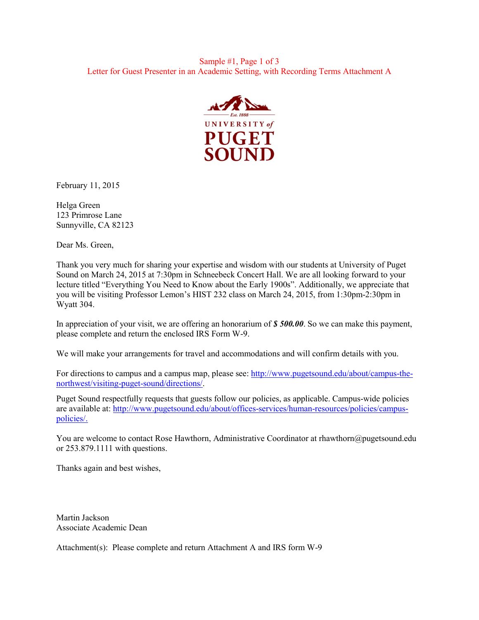

February 11, 2015

Helga Green 123 Primrose Lane Sunnyville, CA 82123

Dear Ms. Green,

Thank you very much for sharing your expertise and wisdom with our students at University of Puget Sound on March 24, 2015 at 7:30pm in Schneebeck Concert Hall. We are all looking forward to your lecture titled "Everything You Need to Know about the Early 1900s". Additionally, we appreciate that you will be visiting Professor Lemon's HIST 232 class on March 24, 2015, from 1:30pm-2:30pm in Wyatt 304.

In appreciation of your visit, we are offering an honorarium of *\$ 500.00*. So we can make this payment, please complete and return the enclosed IRS Form W-9.

We will make your arrangements for travel and accommodations and will confirm details with you.

For directions to campus and a campus map, please see: [http://www.pugetsound.edu/about/campus-the](http://www.pugetsound.edu/about/campus-the-northwest/visiting-puget-sound/directions/)[northwest/visiting-puget-sound/directions/](http://www.pugetsound.edu/about/campus-the-northwest/visiting-puget-sound/directions/).

Puget Sound respectfully requests that guests follow our policies, as applicable. Campus-wide policies are available at: [http://www.pugetsound.edu/about/offices-services/human-resources/policies/campus](http://www.pugetsound.edu/about/offices-services/human-resources/policies/campus-policies/)[policies/](http://www.pugetsound.edu/about/offices-services/human-resources/policies/campus-policies/).

You are welcome to contact Rose Hawthorn, Administrative Coordinator at rhawthorn@pugetsound.edu or 253.879.1111 with questions.

Thanks again and best wishes,

Martin Jackson Associate Academic Dean

Attachment(s): Please complete and return Attachment A and IRS form W-9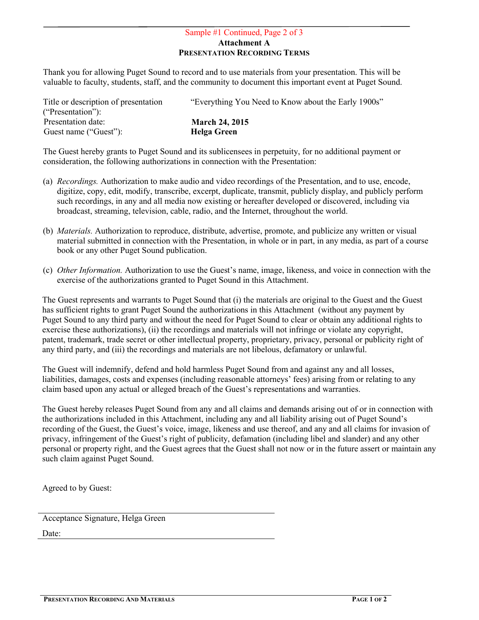## Sample #1 Continued, Page 2 of 3 Attachment A PRESENTATION RECORDING TERMS

Thank you for allowing Puget Sound to record and to use materials from your presentation. This will be valuable to faculty, students, staff, and the community to document this important event at Puget Sound.

| Title or description of presentation | "Everything You Need to Know about the Early 1900s" |
|--------------------------------------|-----------------------------------------------------|
| ("Presentation"):                    |                                                     |
| Presentation date:                   | <b>March 24, 2015</b>                               |
| Guest name ("Guest"):                | Helga Green                                         |
|                                      |                                                     |

The Guest hereby grants to Puget Sound and its sublicensees in perpetuity, for no additional payment or consideration, the following authorizations in connection with the Presentation:

- (a) *Recordings.* Authorization to make audio and video recordings of the Presentation, and to use, encode, digitize, copy, edit, modify, transcribe, excerpt, duplicate, transmit, publicly display, and publicly perform such recordings, in any and all media now existing or hereafter developed or discovered, including via broadcast, streaming, television, cable, radio, and the Internet, throughout the world.
- (b) *Materials.* Authorization to reproduce, distribute, advertise, promote, and publicize any written or visual material submitted in connection with the Presentation, in whole or in part, in any media, as part of a course book or any other Puget Sound publication.
- (c) *Other Information.* Authorization to use the Guest's name, image, likeness, and voice in connection with the exercise of the authorizations granted to Puget Sound in this Attachment.

The Guest represents and warrants to Puget Sound that (i) the materials are original to the Guest and the Guest has sufficient rights to grant Puget Sound the authorizations in this Attachment (without any payment by Puget Sound to any third party and without the need for Puget Sound to clear or obtain any additional rights to exercise these authorizations), (ii) the recordings and materials will not infringe or violate any copyright, patent, trademark, trade secret or other intellectual property, proprietary, privacy, personal or publicity right of any third party, and (iii) the recordings and materials are not libelous, defamatory or unlawful.

The Guest will indemnify, defend and hold harmless Puget Sound from and against any and all losses, liabilities, damages, costs and expenses (including reasonable attorneys' fees) arising from or relating to any claim based upon any actual or alleged breach of the Guest's representations and warranties.

The Guest hereby releases Puget Sound from any and all claims and demands arising out of or in connection with the authorizations included in this Attachment, including any and all liability arising out of Puget Sound's recording of the Guest, the Guest's voice, image, likeness and use thereof, and any and all claims for invasion of privacy, infringement of the Guest's right of publicity, defamation (including libel and slander) and any other personal or property right, and the Guest agrees that the Guest shall not now or in the future assert or maintain any such claim against Puget Sound.

Agreed to by Guest:

Acceptance Signature, Helga Green

Date: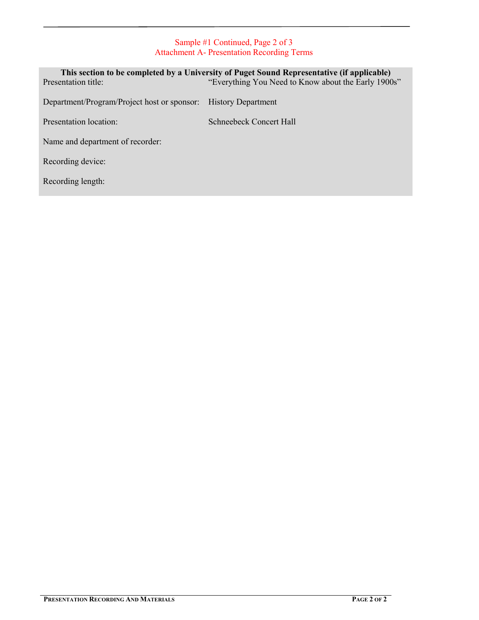# Sample #1 Continued, Page 2 of 3 Attachment A- Presentation Recording Terms

| Presentation title:                         | This section to be completed by a University of Puget Sound Representative (if applicable)<br>"Everything You Need to Know about the Early 1900s" |
|---------------------------------------------|---------------------------------------------------------------------------------------------------------------------------------------------------|
| Department/Program/Project host or sponsor: | <b>History Department</b>                                                                                                                         |
| Presentation location:                      | Schneebeck Concert Hall                                                                                                                           |
| Name and department of recorder:            |                                                                                                                                                   |
| Recording device:                           |                                                                                                                                                   |
| Recording length:                           |                                                                                                                                                   |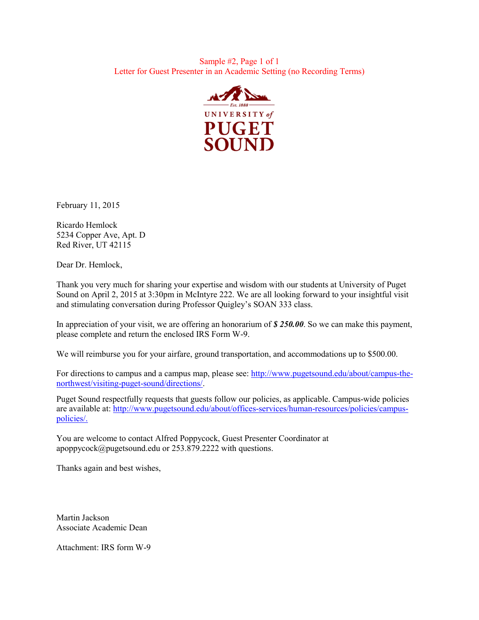#### Sample #2, Page 1 of 1 Letter for Guest Presenter in an Academic Setting (no Recording Terms)



February 11, 2015

Ricardo Hemlock 5234 Copper Ave, Apt. D Red River, UT 42115

Dear Dr. Hemlock,

Thank you very much for sharing your expertise and wisdom with our students at University of Puget Sound on April 2, 2015 at 3:30pm in McIntyre 222. We are all looking forward to your insightful visit and stimulating conversation during Professor Quigley's SOAN 333 class.

In appreciation of your visit, we are offering an honorarium of *\$ 250.00*. So we can make this payment, please complete and return the enclosed IRS Form W-9.

We will reimburse you for your airfare, ground transportation, and accommodations up to \$500.00.

For directions to campus and a campus map, please see: [http://www.pugetsound.edu/about/campus-the](http://www.pugetsound.edu/about/campus-the-northwest/visiting-puget-sound/directions/)[northwest/visiting-puget-sound/directions/.](http://www.pugetsound.edu/about/campus-the-northwest/visiting-puget-sound/directions/)

Puget Sound respectfully requests that guests follow our policies, as applicable. Campus-wide policies are available at: [http://www.pugetsound.edu/about/offices-services/human-resources/policies/campus](http://www.pugetsound.edu/about/offices-services/human-resources/policies/campus-policies/)[policies/](http://www.pugetsound.edu/about/offices-services/human-resources/policies/campus-policies/).

You are welcome to contact Alfred Poppycock, Guest Presenter Coordinator at apoppycock@pugetsound.edu or 253.879.2222 with questions.

Thanks again and best wishes,

Martin Jackson Associate Academic Dean

Attachment: IRS form W-9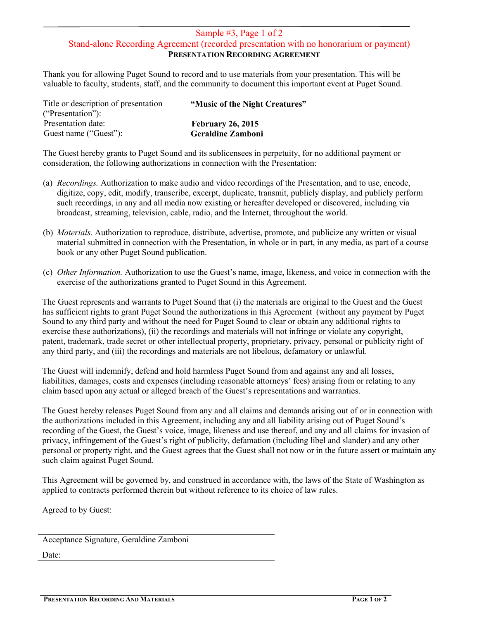### Sample #3, Page 1 of 2 Stand-alone Recording Agreement (recorded presentation with no honorarium or payment) PRESENTATION RECORDING AGREEMENT

Thank you for allowing Puget Sound to record and to use materials from your presentation. This will be valuable to faculty, students, staff, and the community to document this important event at Puget Sound.

| "Music of the Night Creatures" |
|--------------------------------|
|                                |
| <b>February 26, 2015</b>       |
| <b>Geraldine Zamboni</b>       |
|                                |

The Guest hereby grants to Puget Sound and its sublicensees in perpetuity, for no additional payment or consideration, the following authorizations in connection with the Presentation:

- (a) *Recordings.* Authorization to make audio and video recordings of the Presentation, and to use, encode, digitize, copy, edit, modify, transcribe, excerpt, duplicate, transmit, publicly display, and publicly perform such recordings, in any and all media now existing or hereafter developed or discovered, including via broadcast, streaming, television, cable, radio, and the Internet, throughout the world.
- (b) *Materials.* Authorization to reproduce, distribute, advertise, promote, and publicize any written or visual material submitted in connection with the Presentation, in whole or in part, in any media, as part of a course book or any other Puget Sound publication.
- (c) *Other Information.* Authorization to use the Guest's name, image, likeness, and voice in connection with the exercise of the authorizations granted to Puget Sound in this Agreement.

The Guest represents and warrants to Puget Sound that (i) the materials are original to the Guest and the Guest has sufficient rights to grant Puget Sound the authorizations in this Agreement (without any payment by Puget Sound to any third party and without the need for Puget Sound to clear or obtain any additional rights to exercise these authorizations), (ii) the recordings and materials will not infringe or violate any copyright, patent, trademark, trade secret or other intellectual property, proprietary, privacy, personal or publicity right of any third party, and (iii) the recordings and materials are not libelous, defamatory or unlawful.

The Guest will indemnify, defend and hold harmless Puget Sound from and against any and all losses, liabilities, damages, costs and expenses (including reasonable attorneys' fees) arising from or relating to any claim based upon any actual or alleged breach of the Guest's representations and warranties.

The Guest hereby releases Puget Sound from any and all claims and demands arising out of or in connection with the authorizations included in this Agreement, including any and all liability arising out of Puget Sound's recording of the Guest, the Guest's voice, image, likeness and use thereof, and any and all claims for invasion of privacy, infringement of the Guest's right of publicity, defamation (including libel and slander) and any other personal or property right, and the Guest agrees that the Guest shall not now or in the future assert or maintain any such claim against Puget Sound.

This Agreement will be governed by, and construed in accordance with, the laws of the State of Washington as applied to contracts performed therein but without reference to its choice of law rules.

Agreed to by Guest:

Acceptance Signature, Geraldine Zamboni

Date: